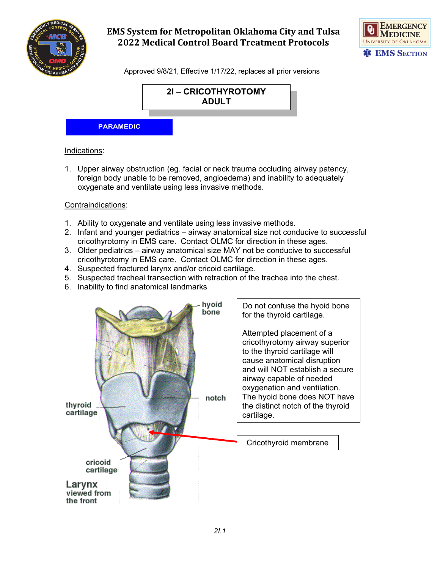



Approved 9/8/21, Effective 1/17/22, replaces all prior versions



#### **PARAMEDIC**

#### Indications:

1. Upper airway obstruction (eg. facial or neck trauma occluding airway patency, foreign body unable to be removed, angioedema) and inability to adequately oxygenate and ventilate using less invasive methods.

#### Contraindications:

- 1. Ability to oxygenate and ventilate using less invasive methods.
- 2. Infant and younger pediatrics airway anatomical size not conducive to successful cricothyrotomy in EMS care. Contact OLMC for direction in these ages.
- 3. Older pediatrics airway anatomical size MAY not be conducive to successful cricothyrotomy in EMS care. Contact OLMC for direction in these ages.
- 4. Suspected fractured larynx and/or cricoid cartilage.
- 5. Suspected tracheal transection with retraction of the trachea into the chest.
- 6. Inability to find anatomical landmarks

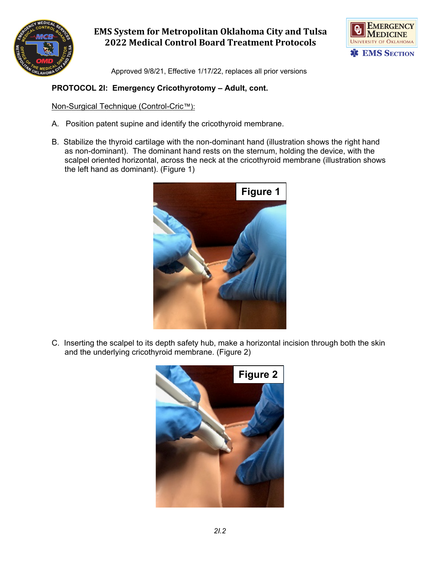



Approved 9/8/21, Effective 1/17/22, replaces all prior versions

#### **PROTOCOL 2I: Emergency Cricothyrotomy – Adult, cont.**

Non-Surgical Technique (Control-Cric™):

- A. Position patent supine and identify the cricothyroid membrane.
- B. Stabilize the thyroid cartilage with the non-dominant hand (illustration shows the right hand as non-dominant). The dominant hand rests on the sternum, holding the device, with the scalpel oriented horizontal, across the neck at the cricothyroid membrane (illustration shows the left hand as dominant). (Figure 1)



C. Inserting the scalpel to its depth safety hub, make a horizontal incision through both the skin and the underlying cricothyroid membrane. (Figure 2)

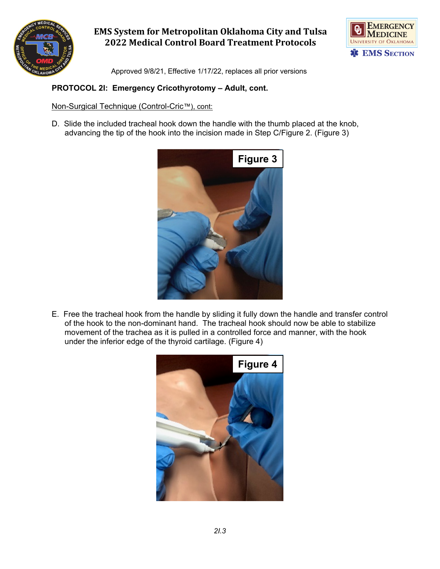



Approved 9/8/21, Effective 1/17/22, replaces all prior versions

### **PROTOCOL 2I: Emergency Cricothyrotomy – Adult, cont.**

Non-Surgical Technique (Control-Cric™), cont:

D. Slide the included tracheal hook down the handle with the thumb placed at the knob, advancing the tip of the hook into the incision made in Step C/Figure 2. (Figure 3)



E. Free the tracheal hook from the handle by sliding it fully down the handle and transfer control of the hook to the non-dominant hand. The tracheal hook should now be able to stabilize movement of the trachea as it is pulled in a controlled force and manner, with the hook under the inferior edge of the thyroid cartilage. (Figure 4)

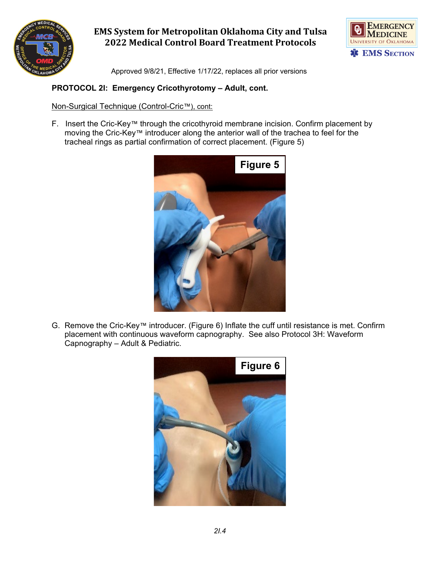



Approved 9/8/21, Effective 1/17/22, replaces all prior versions

### **PROTOCOL 2I: Emergency Cricothyrotomy – Adult, cont.**

Non-Surgical Technique (Control-Cric™), cont:

F. Insert the Cric-Key™ through the cricothyroid membrane incision. Confirm placement by moving the Cric-Key™ introducer along the anterior wall of the trachea to feel for the tracheal rings as partial confirmation of correct placement. (Figure 5)



G. Remove the Cric-Key™ introducer. (Figure 6) Inflate the cuff until resistance is met. Confirm placement with continuous waveform capnography. See also Protocol 3H: Waveform Capnography – Adult & Pediatric.

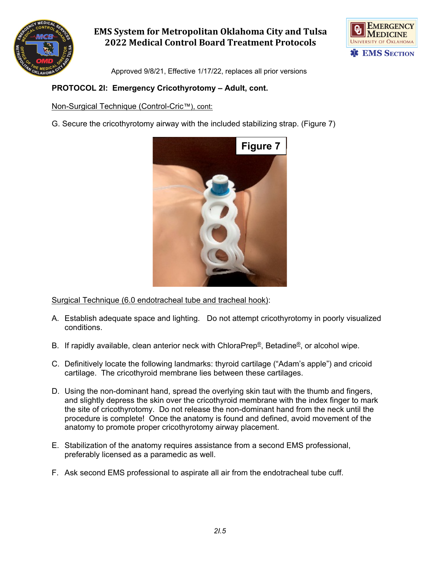



Approved 9/8/21, Effective 1/17/22, replaces all prior versions

### **PROTOCOL 2I: Emergency Cricothyrotomy – Adult, cont.**

Non-Surgical Technique (Control-Cric™), cont:

G. Secure the cricothyrotomy airway with the included stabilizing strap. (Figure 7)



Surgical Technique (6.0 endotracheal tube and tracheal hook):

- A. Establish adequate space and lighting. Do not attempt cricothyrotomy in poorly visualized conditions.
- B. If rapidly available, clean anterior neck with ChloraPrep®, Betadine®, or alcohol wipe.
- C. Definitively locate the following landmarks: thyroid cartilage ("Adam's apple") and cricoid cartilage. The cricothyroid membrane lies between these cartilages.
- D. Using the non-dominant hand, spread the overlying skin taut with the thumb and fingers, and slightly depress the skin over the cricothyroid membrane with the index finger to mark the site of cricothyrotomy. Do not release the non-dominant hand from the neck until the procedure is complete! Once the anatomy is found and defined, avoid movement of the anatomy to promote proper cricothyrotomy airway placement.
- E. Stabilization of the anatomy requires assistance from a second EMS professional, preferably licensed as a paramedic as well.
- F. Ask second EMS professional to aspirate all air from the endotracheal tube cuff.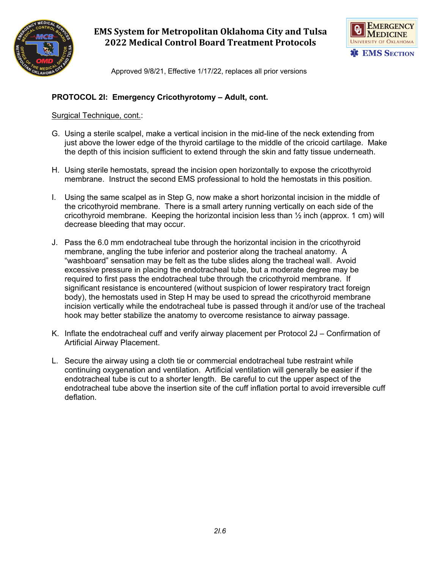



Approved 9/8/21, Effective 1/17/22, replaces all prior versions

#### **PROTOCOL 2I: Emergency Cricothyrotomy – Adult, cont.**

Surgical Technique, cont.:

- G. Using a sterile scalpel, make a vertical incision in the mid-line of the neck extending from just above the lower edge of the thyroid cartilage to the middle of the cricoid cartilage. Make the depth of this incision sufficient to extend through the skin and fatty tissue underneath.
- H. Using sterile hemostats, spread the incision open horizontally to expose the cricothyroid membrane. Instruct the second EMS professional to hold the hemostats in this position.
- I. Using the same scalpel as in Step G, now make a short horizontal incision in the middle of the cricothyroid membrane. There is a small artery running vertically on each side of the cricothyroid membrane. Keeping the horizontal incision less than  $\frac{1}{2}$  inch (approx. 1 cm) will decrease bleeding that may occur.
- J. Pass the 6.0 mm endotracheal tube through the horizontal incision in the cricothyroid membrane, angling the tube inferior and posterior along the tracheal anatomy. A "washboard" sensation may be felt as the tube slides along the tracheal wall. Avoid excessive pressure in placing the endotracheal tube, but a moderate degree may be required to first pass the endotracheal tube through the cricothyroid membrane. If significant resistance is encountered (without suspicion of lower respiratory tract foreign body), the hemostats used in Step H may be used to spread the cricothyroid membrane incision vertically while the endotracheal tube is passed through it and/or use of the tracheal hook may better stabilize the anatomy to overcome resistance to airway passage.
- K. Inflate the endotracheal cuff and verify airway placement per Protocol 2J Confirmation of Artificial Airway Placement.
- L. Secure the airway using a cloth tie or commercial endotracheal tube restraint while continuing oxygenation and ventilation. Artificial ventilation will generally be easier if the endotracheal tube is cut to a shorter length. Be careful to cut the upper aspect of the endotracheal tube above the insertion site of the cuff inflation portal to avoid irreversible cuff deflation.